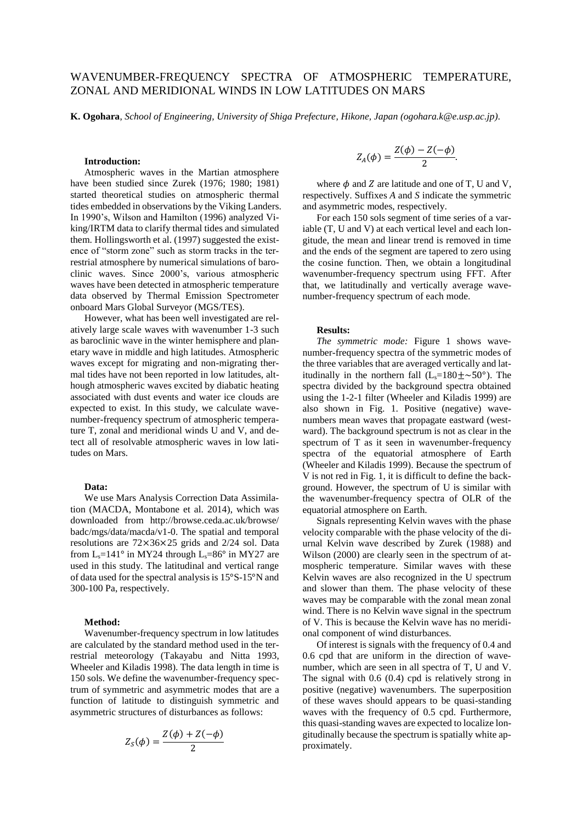# WAVENUMBER-FREQUENCY SPECTRA OF ATMOSPHERIC TEMPERATURE, ZONAL AND MERIDIONAL WINDS IN LOW LATITUDES ON MARS

**K. Ogohara**, *School of Engineering, University of Shiga Prefecture, Hikone, Japan (ogohara.k@e.usp.ac.jp)*.

## **Introduction:**

Atmospheric waves in the Martian atmosphere have been studied since Zurek (1976; 1980; 1981) started theoretical studies on atmospheric thermal tides embedded in observations by the Viking Landers. In 1990's, Wilson and Hamilton (1996) analyzed Viking/IRTM data to clarify thermal tides and simulated them. Hollingsworth et al. (1997) suggested the existence of "storm zone" such as storm tracks in the terrestrial atmosphere by numerical simulations of baroclinic waves. Since 2000's, various atmospheric waves have been detected in atmospheric temperature data observed by Thermal Emission Spectrometer onboard Mars Global Surveyor (MGS/TES).

However, what has been well investigated are relatively large scale waves with wavenumber 1-3 such as baroclinic wave in the winter hemisphere and planetary wave in middle and high latitudes. Atmospheric waves except for migrating and non-migrating thermal tides have not been reported in low latitudes, although atmospheric waves excited by diabatic heating associated with dust events and water ice clouds are expected to exist. In this study, we calculate wavenumber-frequency spectrum of atmospheric temperature T, zonal and meridional winds U and V, and detect all of resolvable atmospheric waves in low latitudes on Mars.

#### **Data:**

We use Mars Analysis Correction Data Assimilation (MACDA, Montabone et al. 2014), which was downloaded from http://browse.ceda.ac.uk/browse/ badc/mgs/data/macda/v1-0. The spatial and temporal resolutions are 72×36×25 grids and 2/24 sol. Data from  $L_s = 141^\circ$  in MY24 through  $L_s = 86^\circ$  in MY27 are used in this study. The latitudinal and vertical range of data used for the spectral analysis is 15°S-15°N and 300-100 Pa, respectively.

#### **Method:**

Wavenumber-frequency spectrum in low latitudes are calculated by the standard method used in the terrestrial meteorology (Takayabu and Nitta 1993, Wheeler and Kiladis 1998). The data length in time is 150 sols. We define the wavenumber-frequency spectrum of symmetric and asymmetric modes that are a function of latitude to distinguish symmetric and asymmetric structures of disturbances as follows:

$$
Z_S(\phi) = \frac{Z(\phi) + Z(-\phi)}{2}
$$

$$
Z_A(\phi) = \frac{Z(\phi) - Z(-\phi)}{2}.
$$

where  $\phi$  and Z are latitude and one of T, U and V, respectively. Suffixes *A* and *S* indicate the symmetric and asymmetric modes, respectively.

For each 150 sols segment of time series of a variable (T, U and V) at each vertical level and each longitude, the mean and linear trend is removed in time and the ends of the segment are tapered to zero using the cosine function. Then, we obtain a longitudinal wavenumber-frequency spectrum using FFT. After that, we latitudinally and vertically average wavenumber-frequency spectrum of each mode.

### **Results:**

*The symmetric mode:* Figure 1 shows wavenumber-frequency spectra of the symmetric modes of the three variables that are averaged vertically and latitudinally in the northern fall  $(L_s=180 \pm 0.50^{\circ})$ . The spectra divided by the background spectra obtained using the 1-2-1 filter (Wheeler and Kiladis 1999) are also shown in Fig. 1. Positive (negative) wavenumbers mean waves that propagate eastward (westward). The background spectrum is not as clear in the spectrum of T as it seen in wavenumber-frequency spectra of the equatorial atmosphere of Earth (Wheeler and Kiladis 1999). Because the spectrum of V is not red in Fig. 1, it is difficult to define the background. However, the spectrum of U is similar with the wavenumber-frequency spectra of OLR of the equatorial atmosphere on Earth.

Signals representing Kelvin waves with the phase velocity comparable with the phase velocity of the diurnal Kelvin wave described by Zurek (1988) and Wilson (2000) are clearly seen in the spectrum of atmospheric temperature. Similar waves with these Kelvin waves are also recognized in the U spectrum and slower than them. The phase velocity of these waves may be comparable with the zonal mean zonal wind. There is no Kelvin wave signal in the spectrum of V. This is because the Kelvin wave has no meridional component of wind disturbances.

Of interest is signals with the frequency of 0.4 and 0.6 cpd that are uniform in the direction of wavenumber, which are seen in all spectra of T, U and V. The signal with 0.6 (0.4) cpd is relatively strong in positive (negative) wavenumbers. The superposition of these waves should appears to be quasi-standing waves with the frequency of 0.5 cpd. Furthermore, this quasi-standing waves are expected to localize longitudinally because the spectrum is spatially white approximately.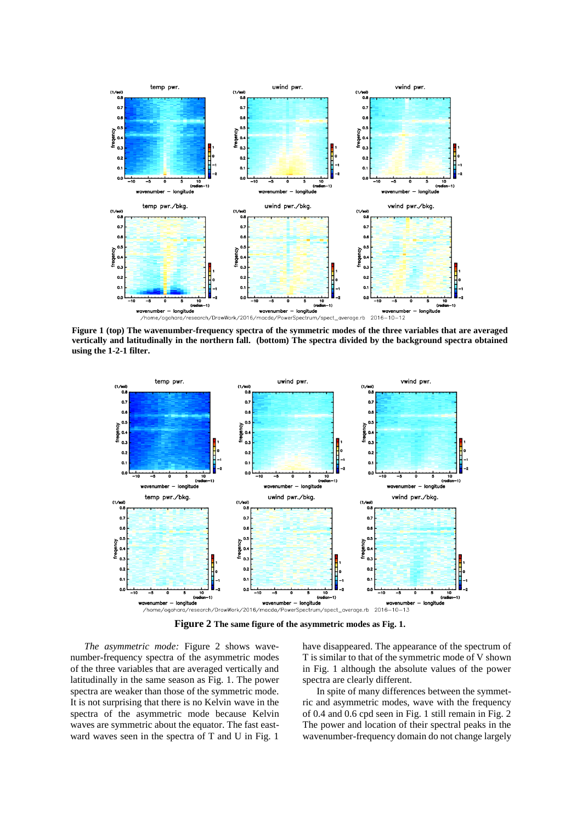

**Figure 1 (top) The wavenumber-frequency spectra of the symmetric modes of the three variables that are averaged vertically and latitudinally in the northern fall. (bottom) The spectra divided by the background spectra obtained using the 1-2-1 filter.**



**Figure 2 The same figure of the asymmetric modes as Fig. 1.**

*The asymmetric mode:* Figure 2 shows wavenumber-frequency spectra of the asymmetric modes of the three variables that are averaged vertically and latitudinally in the same season as Fig. 1. The power spectra are weaker than those of the symmetric mode. It is not surprising that there is no Kelvin wave in the spectra of the asymmetric mode because Kelvin waves are symmetric about the equator. The fast eastward waves seen in the spectra of T and U in Fig. 1

have disappeared. The appearance of the spectrum of T is similar to that of the symmetric mode of V shown in Fig. 1 although the absolute values of the power spectra are clearly different.

In spite of many differences between the symmetric and asymmetric modes, wave with the frequency of 0.4 and 0.6 cpd seen in Fig. 1 still remain in Fig. 2 The power and location of their spectral peaks in the wavenumber-frequency domain do not change largely